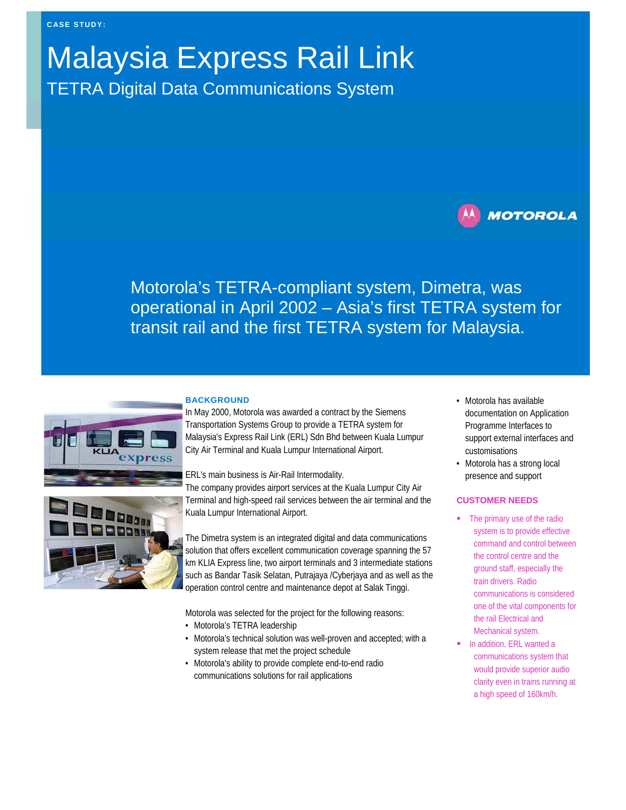# Malaysia Express Rail Link

TETRA Digital Data Communications System

# **MOTOROLA**

Motorola's TETRA-compliant system, Dimetra, was operational in April 2002 – Asia's first TETRA system for transit rail and the first TETRA system for Malaysia.



Dann

## **BACKGROUND**

In May 2000, Motorola was awarded a contract by the Siemens Transportation Systems Group to provide a TETRA system for Malaysia's Express Rail Link (ERL) Sdn Bhd between Kuala Lumpur City Air Terminal and Kuala Lumpur International Airport.

ERL's main business is Air-Rail Intermodality.

The company provides airport services at the Kuala Lumpur City Air Terminal and high-speed rail services between the air terminal and the Kuala Lumpur International Airport.

The Dimetra system is an integrated digital and data communications solution that offers excellent communication coverage spanning the 57 km KLIA Express line, two airport terminals and 3 intermediate stations such as Bandar Tasik Selatan, Putrajaya /Cyberjaya and as well as the operation control centre and maintenance depot at Salak Tinggi.

Motorola was selected for the project for the following reasons:

- Motorola's TETRA leadership
- Motorola's technical solution was well-proven and accepted; with a system release that met the project schedule
- Motorola's ability to provide complete end-to-end radio communications solutions for rail applications
- Motorola has available documentation on Application Programme Interfaces to support external interfaces and customisations
- Motorola has a strong local presence and support

### **CUSTOMER NEEDS**

- The primary use of the radio system is to provide effective command and control between the control centre and the ground staff, especially the train drivers. Radio communications is considered one of the vital components for the rail Electrical and Mechanical system.
- In addition, ERL wanted a communications system that would provide superior audio clarity even in trains running at a high speed of 160km/h.